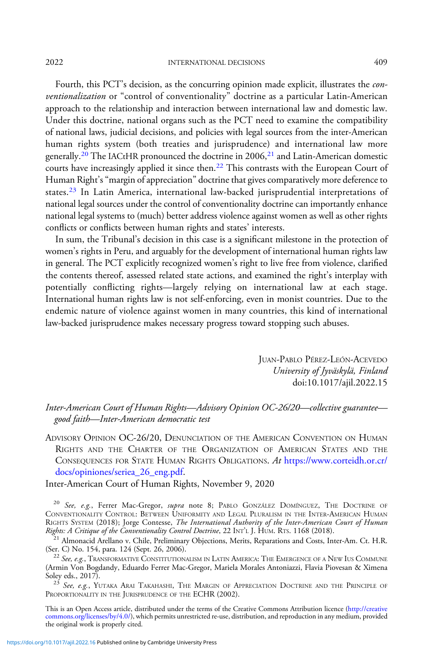2022 INTERNATIONAL DECISIONS 409

Fourth, this PCT's decision, as the concurring opinion made explicit, illustrates the conventionalization or "control of conventionality" doctrine as a particular Latin-American approach to the relationship and interaction between international law and domestic law. Under this doctrine, national organs such as the PCT need to examine the compatibility of national laws, judicial decisions, and policies with legal sources from the inter-American human rights system (both treaties and jurisprudence) and international law more generally.<sup>20</sup> The IACtHR pronounced the doctrine in 2006,<sup>21</sup> and Latin-American domestic courts have increasingly applied it since then.<sup>22</sup> This contrasts with the European Court of Human Right's"margin of appreciation" doctrine that gives comparatively more deference to states.<sup>23</sup> In Latin America, international law-backed jurisprudential interpretations of national legal sources under the control of conventionality doctrine can importantly enhance national legal systems to (much) better address violence against women as well as other rights conflicts or conflicts between human rights and states' interests.

In sum, the Tribunal's decision in this case is a significant milestone in the protection of women's rights in Peru, and arguably for the development of international human rights law in general. The PCT explicitly recognized women's right to live free from violence, clarified the contents thereof, assessed related state actions, and examined the right's interplay with potentially conflicting rights—largely relying on international law at each stage. International human rights law is not self-enforcing, even in monist countries. Due to the endemic nature of violence against women in many countries, this kind of international law-backed jurisprudence makes necessary progress toward stopping such abuses.

> JUAN-PABLO PÉREZ-LEÓN-ACEVEDO University of Jyväskylä, Finland doi:10.1017/ajil.2022.15

## Inter-American Court of Human Rights—Advisory Opinion OC-26/20—collective guarantee good faith—Inter-American democratic test

ADVISORY OPINION OC-26/20, DENUNCIATION OF THE AMERICAN CONVENTION ON HUMAN RIGHTS AND THE CHARTER OF THE ORGANIZATION OF AMERICAN STATES AND THE CONSEQUENCES FOR STATE HUMAN RIGHTS OBLIGATIONS. At [https://www.corteidh.or.cr/](https://www.corteidh.or.cr/docs/opiniones/seriea_26_eng.pdf) [docs/opiniones/seriea\\_26\\_eng.pdf](https://www.corteidh.or.cr/docs/opiniones/seriea_26_eng.pdf).

Inter-American Court of Human Rights, November 9, 2020

<sup>20</sup> See, e.g., Ferrer Mac-Gregor, supra note 8; PABLO GONZÁLEZ DOMÍNGUEZ, THE DOCTRINE OF CONVENTIONALITY CONTROL: BETWEEN UNIFORMITY AND LEGAL PLURALISM IN THE INTER-AMERICAN HUMAN RIGHTS SYSTEM (2018); Jorge Contesse, *The International Authority of the Inter-American Court of Human*<br>Rights: A Critique of the Conventionality Control Doctrine, 22 INT'L J. HUM. RTS. 1168 (2018).

 $\frac{1}{2}$  Almonacid Arellano v. Chile, Preliminary Objections, Merits, Reparations and Costs, Inter-Am. Ct. H.R. (Ser. C) No. 154, para. 124 (Sept. 26, 2006).

 $^{22}$  See, e.g., Transformative Constitutionalism in Latin America: The Emergence of a New Ius Commune (Armin Von Bogdandy, Eduardo Ferrer Mac-Gregor, Mariela Morales Antoniazzi, Flavia Piovesan & Ximena<br>Soley eds., 2017).

 $^{23}$  See, e.g., Yutaka Arai Takahashi, The Margin of Appreciation Doctrine and the Principle of PROPORTIONALITY IN THE JURISPRUDENCE OF THE ECHR (2002).

This is an Open Access article, distributed under the terms of the Creative Commons Attribution licence ([http://creative](http://creativecommons.org/licenses/by/4.0/) [commons.org/licenses/by/4.0/](http://creativecommons.org/licenses/by/4.0/)), which permits unrestricted re-use, distribution, and reproduction in any medium, provided the original work is properly cited.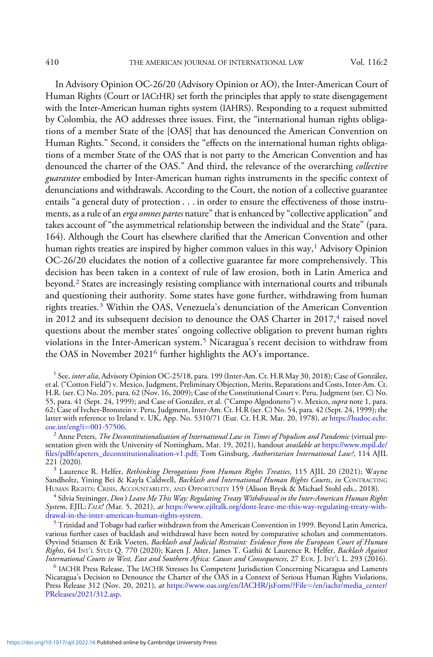In Advisory Opinion OC-26/20 (Advisory Opinion or AO), the Inter-American Court of Human Rights (Court or IACtHR) set forth the principles that apply to state disengagement with the Inter-American human rights system (IAHRS). Responding to a request submitted by Colombia, the AO addresses three issues. First, the "international human rights obligations of a member State of the [OAS] that has denounced the American Convention on Human Rights." Second, it considers the "effects on the international human rights obligations of a member State of the OAS that is not party to the American Convention and has denounced the charter of the OAS." And third, the relevance of the overarching collective guarantee embodied by Inter-American human rights instruments in the specific context of denunciations and withdrawals. According to the Court, the notion of a collective guarantee entails "a general duty of protection . . . in order to ensure the effectiveness of those instruments, as a rule of an *erga omnes partes* nature" that is enhanced by "collective application" and takes account of "the asymmetrical relationship between the individual and the State" (para. 164). Although the Court has elsewhere clarified that the American Convention and other human rights treaties are inspired by higher common values in this way,<sup>1</sup> Advisory Opinion OC-26/20 elucidates the notion of a collective guarantee far more comprehensively. This decision has been taken in a context of rule of law erosion, both in Latin America and beyond.<sup>2</sup> States are increasingly resisting compliance with international courts and tribunals and questioning their authority. Some states have gone further, withdrawing from human rights treaties.<sup>3</sup> Within the OAS, Venezuela's denunciation of the American Convention in 2012 and its subsequent decision to denounce the OAS Charter in  $2017<sup>4</sup>$  raised novel questions about the member states' ongoing collective obligation to prevent human rights violations in the Inter-American system.<sup>5</sup> Nicaragua's recent decision to withdraw from the OAS in November 2021<sup>6</sup> further highlights the AO's importance.

 $^2$  Anne Peters, *The Deconstitutionalisation of International Law in Times of Populism and Pandemic* (virtual presentation given with the University of Nottingham, Mar. 19, 2021), handout *available at [https://www.mpil.de/](https://www.mpil.de/files/pdf6/apeters_deconstitutionalisation-v1.pdf)* fi[les/pdf6/apeters\\_deconstitutionalisation-v1.pdf](https://www.mpil.de/files/pdf6/apeters_deconstitutionalisation-v1.pdf); Tom Ginsburg, Authoritarian International Law?, 114 AJIL<br>221 (2020).

<sup>4</sup> Silvia Steininger, Don't Leave Me This Way: Regulating Treaty Withdrawal in the Inter-American Human Rights System, EJIL: TALK! (Mar. 5, 2021), at https://www.ejiltalk.org/dont-leave-me-this-way-regulating-treaty-with-drawal-in-the-inter-american-human-rights-system.

 $^5$  Trinidad and Tobago had earlier withdrawn from the American Convention in 1999. Beyond Latin America, various further cases of backlash and withdrawal have been noted by comparative scholars and commentators. Øyvind Stiansen & Erik Voeten, Backlash and Judicial Restraint: Evidence from the European Court of Human Rights, 64 INT'L STUD Q. 770 (2020); Karen J. Alter, James T. Gathii & Laurence R. Helfer, *Backlash Against*<br>International Courts in West, East and Southern Africa: Causes and Consequences, 27 EUR. J. INT'L L. 293 (2016).

 $<sup>6</sup>$  IACHR Press Release, The IACHR Stresses Its Competent Jurisdiction Concerning Nicaragua and Laments</sup> Nicaragua's Decision to Denounce the Charter of the OAS in a Context of Serious Human Rights Violations, Press Release 312 (Nov. 20, 2021), at [https://www.oas.org/en/IACHR/jsForm/?File](https://www.oas.org/en/IACHR/jsForm/?File=/en/iachr/media_center/PReleases/2021/312.asp)=[/en/iachr/media\\_center/](https://www.oas.org/en/IACHR/jsForm/?File=/en/iachr/media_center/PReleases/2021/312.asp) [PReleases/2021/312.asp](https://www.oas.org/en/IACHR/jsForm/?File=/en/iachr/media_center/PReleases/2021/312.asp).

 $1$  See, *inter alia*, Advisory Opinion OC-25/18, para. 199 (Inter-Am. Ct. H.R May 30, 2018); Case of González, et al. ("Cotton Field") v. Mexico, Judgment, Preliminary Objection, Merits, Reparations and Costs, Inter-Am. Ct. H.R. (ser. C) No. 205, para. 62 (Nov. 16, 2009); Case of the Constitutional Court v. Peru, Judgment (ser. C) No. 55, para. 41 (Sept. 24, 1999); and Case of González, et al. ("Campo Algodonero") v. Mexico, supra note 1, para. 62; Case of Ivcher-Bronstein v. Peru, Judgment, Inter-Am. Ct. H.R (ser. C) No. 54, para. 42 (Sept. 24, 1999); the latter with reference to Ireland v. UK, App. No. 5310/71 (Eur. Ct. H.R. Mar. 20, 1978), at [https://hudoc.echr.](https://hudoc.echr.coe.int/eng?i=001-57506)<br>coe.int/eng?i=001-57506.

 $^3$  Laurence R. Helfer, Rethinking Derogations from Human Rights Treaties, 115 AJIL 20 (2021); Wayne Sandholtz, Yining Bei & Kayla Caldwell, *Backlash and International Human Rights Courts, in* CONTRACTING<br>HUMAN RIGHTS: CRISIS, ACCOUNTABILITY, AND OPPORTUNITY 159 (Alison Brysk & Michael Stohl eds., 2018).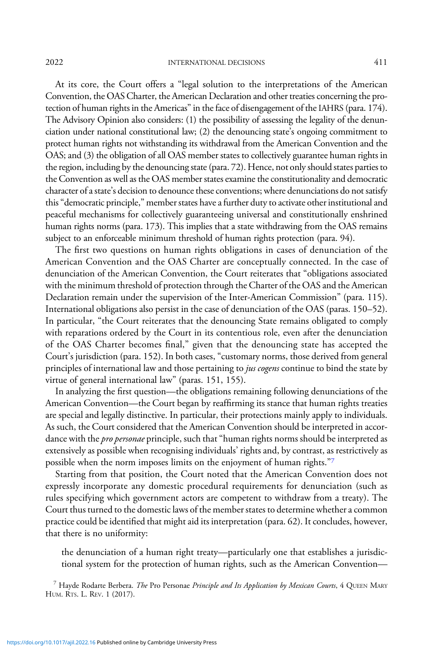At its core, the Court offers a "legal solution to the interpretations of the American Convention, the OAS Charter, the American Declaration and other treaties concerning the protection of human rights in the Americas" in the face of disengagement of the IAHRS (para. 174). The Advisory Opinion also considers: (1) the possibility of assessing the legality of the denunciation under national constitutional law; (2) the denouncing state's ongoing commitment to protect human rights not withstanding its withdrawal from the American Convention and the OAS; and (3) the obligation of all OAS member states to collectively guarantee human rights in the region, including by the denouncing state (para. 72). Hence, not only should states parties to the Convention as well as the OAS member states examine the constitutionality and democratic character of a state's decision to denounce these conventions; where denunciations do not satisfy this"democratic principle," member states have a further duty to activate other institutional and peaceful mechanisms for collectively guaranteeing universal and constitutionally enshrined human rights norms (para. 173). This implies that a state withdrawing from the OAS remains subject to an enforceable minimum threshold of human rights protection (para. 94).

The first two questions on human rights obligations in cases of denunciation of the American Convention and the OAS Charter are conceptually connected. In the case of denunciation of the American Convention, the Court reiterates that "obligations associated with the minimum threshold of protection through the Charter of the OAS and the American Declaration remain under the supervision of the Inter-American Commission" (para. 115). International obligations also persist in the case of denunciation of the OAS (paras. 150–52). In particular, "the Court reiterates that the denouncing State remains obligated to comply with reparations ordered by the Court in its contentious role, even after the denunciation of the OAS Charter becomes final," given that the denouncing state has accepted the Court's jurisdiction (para. 152). In both cases, "customary norms, those derived from general principles of international law and those pertaining to jus cogens continue to bind the state by virtue of general international law" (paras. 151, 155).

In analyzing the first question—the obligations remaining following denunciations of the American Convention—the Court began by reaffirming its stance that human rights treaties are special and legally distinctive. In particular, their protections mainly apply to individuals. As such, the Court considered that the American Convention should be interpreted in accordance with the *pro personae* principle, such that "human rights norms should be interpreted as extensively as possible when recognising individuals' rights and, by contrast, as restrictively as possible when the norm imposes limits on the enjoyment of human rights."<sup>7</sup>

Starting from that position, the Court noted that the American Convention does not expressly incorporate any domestic procedural requirements for denunciation (such as rules specifying which government actors are competent to withdraw from a treaty). The Court thus turned to the domestic laws of the member states to determine whether a common practice could be identified that might aid its interpretation (para. 62). It concludes, however, that there is no uniformity:

the denunciation of a human right treaty—particularly one that establishes a jurisdictional system for the protection of human rights, such as the American Convention—

 $^7$  Hayde Rodarte Berbera. The Pro Personae Principle and Its Application by Mexican Courts, 4 QUEEN MARY HUM. RTS. L. REV. 1 (2017).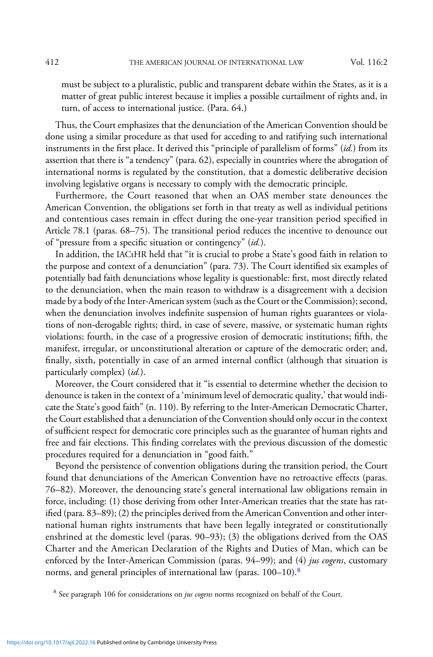must be subject to a pluralistic, public and transparent debate within the States, as it is a matter of great public interest because it implies a possible curtailment of rights and, in turn, of access to international justice. (Para. 64.)

Thus, the Court emphasizes that the denunciation of the American Convention should be done using a similar procedure as that used for acceding to and ratifying such international instruments in the first place. It derived this "principle of parallelism of forms" (id.) from its assertion that there is "a tendency" (para. 62), especially in countries where the abrogation of international norms is regulated by the constitution, that a domestic deliberative decision involving legislative organs is necessary to comply with the democratic principle.

Furthermore, the Court reasoned that when an OAS member state denounces the American Convention, the obligations set forth in that treaty as well as individual petitions and contentious cases remain in effect during the one-year transition period specified in Article 78.1 (paras. 68–75). The transitional period reduces the incentive to denounce out of "pressure from a specific situation or contingency" (id.).

In addition, the IACtHR held that "it is crucial to probe a State's good faith in relation to the purpose and context of a denunciation" (para. 73). The Court identified six examples of potentially bad faith denunciations whose legality is questionable: first, most directly related to the denunciation, when the main reason to withdraw is a disagreement with a decision made by a body of the Inter-American system (such as the Court or the Commission); second, when the denunciation involves indefinite suspension of human rights guarantees or violations of non-derogable rights; third, in case of severe, massive, or systematic human rights violations; fourth, in the case of a progressive erosion of democratic institutions; fifth, the manifest, irregular, or unconstitutional alteration or capture of the democratic order; and, finally, sixth, potentially in case of an armed internal conflict (although that situation is particularly complex) (id.).

Moreover, the Court considered that it "is essential to determine whether the decision to denounce is taken in the context of a 'minimum level of democratic quality,' that would indicate the State's good faith" (n. 110). By referring to the Inter-American Democratic Charter, the Court established that a denunciation of the Convention should only occur in the context of sufficient respect for democratic core principles such as the guarantee of human rights and free and fair elections. This finding correlates with the previous discussion of the domestic procedures required for a denunciation in "good faith."

Beyond the persistence of convention obligations during the transition period, the Court found that denunciations of the American Convention have no retroactive effects (paras. 76–82). Moreover, the denouncing state's general international law obligations remain in force, including: (1) those deriving from other Inter-American treaties that the state has ratified (para. 83–89); (2) the principles derived from the American Convention and other international human rights instruments that have been legally integrated or constitutionally enshrined at the domestic level (paras. 90–93); (3) the obligations derived from the OAS Charter and the American Declaration of the Rights and Duties of Man, which can be enforced by the Inter-American Commission (paras. 94–99); and (4) jus cogens, customary norms, and general principles of international law (paras.  $100-10$ ).<sup>8</sup>

 $8$  See paragraph 106 for considerations on *jus cogens* norms recognized on behalf of the Court.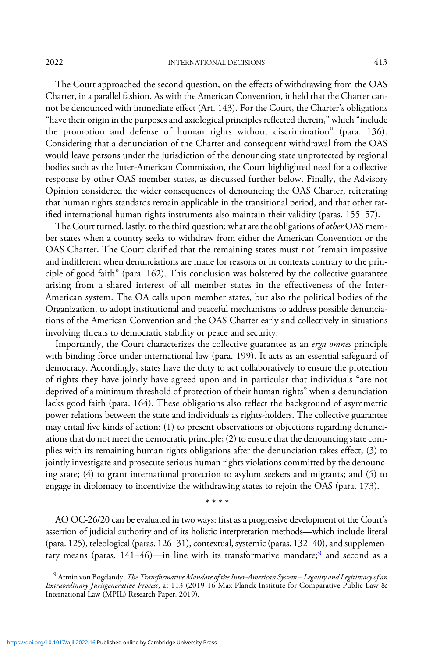The Court approached the second question, on the effects of withdrawing from the OAS Charter, in a parallel fashion. As with the American Convention, it held that the Charter cannot be denounced with immediate effect (Art. 143). For the Court, the Charter's obligations "have their origin in the purposes and axiological principles reflected therein," which "include the promotion and defense of human rights without discrimination" (para. 136). Considering that a denunciation of the Charter and consequent withdrawal from the OAS would leave persons under the jurisdiction of the denouncing state unprotected by regional bodies such as the Inter-American Commission, the Court highlighted need for a collective response by other OAS member states, as discussed further below. Finally, the Advisory Opinion considered the wider consequences of denouncing the OAS Charter, reiterating that human rights standards remain applicable in the transitional period, and that other ratified international human rights instruments also maintain their validity (paras. 155–57).

The Court turned, lastly, to the third question: what are the obligations of *other* OAS member states when a country seeks to withdraw from either the American Convention or the OAS Charter. The Court clarified that the remaining states must not "remain impassive and indifferent when denunciations are made for reasons or in contexts contrary to the principle of good faith" (para. 162). This conclusion was bolstered by the collective guarantee arising from a shared interest of all member states in the effectiveness of the Inter-American system. The OA calls upon member states, but also the political bodies of the Organization, to adopt institutional and peaceful mechanisms to address possible denunciations of the American Convention and the OAS Charter early and collectively in situations involving threats to democratic stability or peace and security.

Importantly, the Court characterizes the collective guarantee as an erga omnes principle with binding force under international law (para. 199). It acts as an essential safeguard of democracy. Accordingly, states have the duty to act collaboratively to ensure the protection of rights they have jointly have agreed upon and in particular that individuals "are not deprived of a minimum threshold of protection of their human rights" when a denunciation lacks good faith (para. 164). These obligations also reflect the background of asymmetric power relations between the state and individuals as rights-holders. The collective guarantee may entail five kinds of action: (1) to present observations or objections regarding denunciations that do not meet the democratic principle; (2) to ensure that the denouncing state complies with its remaining human rights obligations after the denunciation takes effect; (3) to jointly investigate and prosecute serious human rights violations committed by the denouncing state; (4) to grant international protection to asylum seekers and migrants; and (5) to engage in diplomacy to incentivize the withdrawing states to rejoin the OAS (para. 173).

\*\*\*\*

AO OC-26/20 can be evaluated in two ways: first as a progressive development of the Court's assertion of judicial authority and of its holistic interpretation methods—which include literal (para. 125), teleological (paras. 126–31), contextual, systemic (paras. 132–40), and supplementary means (paras.  $141-46$ )—in line with its transformative mandate;<sup>9</sup> and second as a

<sup>&</sup>lt;sup>9</sup> Armin von Bogdandy, The Transformative Mandate of the Inter-American System – Legality and Legitimacy of an Extraordinary Jurisgenerative Process, at 113 (2019-16 Max Planck Institute for Comparative Public Law & International Law (MPIL) Research Paper, 2019).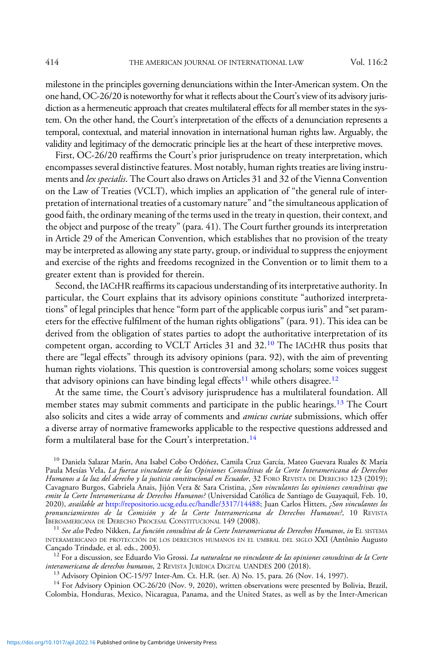milestone in the principles governing denunciations within the Inter-American system. On the one hand, OC-26/20 is noteworthy for what it reflects about the Court's view of its advisory jurisdiction as a hermeneutic approach that creates multilateral effects for all member states in the system. On the other hand, the Court's interpretation of the effects of a denunciation represents a temporal, contextual, and material innovation in international human rights law. Arguably, the validity and legitimacy of the democratic principle lies at the heart of these interpretive moves.

First, OC-26/20 reaffirms the Court's prior jurisprudence on treaty interpretation, which encompasses several distinctive features. Most notably, human rights treaties are living instruments and lex specialis. The Court also draws on Articles 31 and 32 of the Vienna Convention on the Law of Treaties (VCLT), which implies an application of "the general rule of interpretation of international treaties of a customary nature"and "the simultaneous application of good faith, the ordinary meaning of the terms used in the treaty in question, their context, and the object and purpose of the treaty" (para. 41). The Court further grounds its interpretation in Article 29 of the American Convention, which establishes that no provision of the treaty may be interpreted as allowing any state party, group, or individual to suppress the enjoyment and exercise of the rights and freedoms recognized in the Convention or to limit them to a greater extent than is provided for therein.

Second, the IACtHR reaffirms its capacious understanding of its interpretative authority. In particular, the Court explains that its advisory opinions constitute "authorized interpretations" of legal principles that hence "form part of the applicable corpus iuris" and "set parameters for the effective fulfilment of the human rights obligations" (para. 91). This idea can be derived from the obligation of states parties to adopt the authoritative interpretation of its competent organ, according to VCLT Articles 31 and 32.<sup>10</sup> The IACtHR thus posits that there are "legal effects" through its advisory opinions (para. 92), with the aim of preventing human rights violations. This question is controversial among scholars; some voices suggest that advisory opinions can have binding legal effects<sup>11</sup> while others disagree.<sup>12</sup>

At the same time, the Court's advisory jurisprudence has a multilateral foundation. All member states may submit comments and participate in the public hearings.<sup>13</sup> The Court also solicits and cites a wide array of comments and *amicus curiae* submissions, which offer a diverse array of normative frameworks applicable to the respective questions addressed and form a multilateral base for the Court's interpretation.<sup>14</sup>

<sup>10</sup> Daniela Salazar Marín, Ana Isabel Cobo Ordóñez, Camila Cruz García, Mateo Guevara Ruales & María Paula Mesías Vela, La fuerza vinculante de las Opiniones Consultivas de la Corte Interamericana de Derechos Humanos a la luz del derecho y la justicia constitucional en Ecuador, 32 FORO REVISTA DE DERECHO 123 (2019); Cavagnaro Burgos, Gabriela Anais, Jijón Vera & Sara Cristina, ¿*Son vinculantes las opiniones consultivas que emite la Corte Interamericana de Derechos Humanos?* (Universidad Católica de Santiago de Guayaquil, Feb. 10, 2020), available at [http://repositorio.ucsg.edu.ec/handle/3317/14488;](http://repositorio.ucsg.edu.ec/handle/3317/14488) Juan Carlos Hitters, ¿Son vinculantes los pronunciamientos de la Comisión y de la Corte Interamericana de Derechos Humanos?, 10 REVISTA<br>IBEROAMERICANA DE DERECHO PROCESAL CONSTITUCIONAL 149 (2008).

<sup>11</sup> See also Pedro Nikken, La función consultiva de la Corte Interamericana de Derechos Humanos, in El SISTEMA INTERAMERICANO DE PROTECCIÓN DE LOS DERECHOS HUMANOS EN EL UMBRAL DEL SIGLO XXI (Antônio Augusto Cançado Trindade, et al. eds., 2003).

 $^{12}$  For a discussion, see Eduardo Vio Grossi. *La naturaleza no vinculante de las opiniones consultivas de la Corte interamericana de derechos humanos*, 2 Revistra JURÍDICA DIGITAL UANDES 200 (2018).

<sup>13</sup> Advisory Opinion OC-15/97 Inter-Am. Ct. H.R. (ser. A) No. 15, para. 26 (Nov. 14, 1997).<br><sup>14</sup> For Advisory Opinion OC-26/20 (Nov. 9, 2020), written observations were presented by Bolivia, Brazil, Colombia, Honduras, Mexico, Nicaragua, Panama, and the United States, as well as by the Inter-American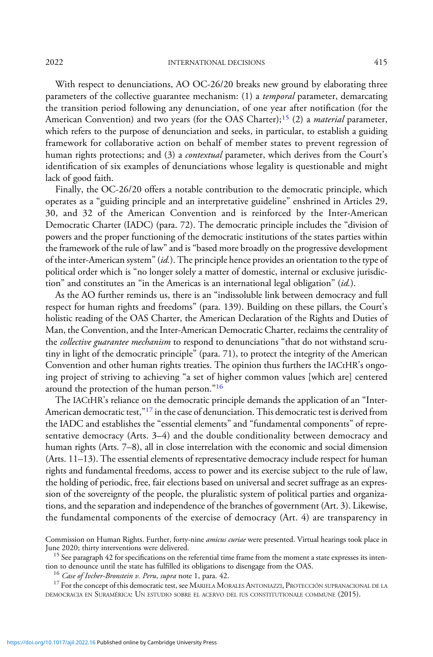With respect to denunciations, AO OC-26/20 breaks new ground by elaborating three parameters of the collective guarantee mechanism: (1) a *temporal* parameter, demarcating the transition period following any denunciation, of one year after notification (for the American Convention) and two years (for the OAS Charter);<sup>15</sup> (2) a *material* parameter, which refers to the purpose of denunciation and seeks, in particular, to establish a guiding framework for collaborative action on behalf of member states to prevent regression of human rights protections; and (3) a *contextual* parameter, which derives from the Court's identification of six examples of denunciations whose legality is questionable and might lack of good faith.

Finally, the OC-26/20 offers a notable contribution to the democratic principle, which operates as a "guiding principle and an interpretative guideline" enshrined in Articles 29, 30, and 32 of the American Convention and is reinforced by the Inter-American Democratic Charter (IADC) (para. 72). The democratic principle includes the "division of powers and the proper functioning of the democratic institutions of the states parties within the framework of the rule of law" and is "based more broadly on the progressive development of the inter-American system" (id.). The principle hence provides an orientation to the type of political order which is "no longer solely a matter of domestic, internal or exclusive jurisdiction" and constitutes an "in the Americas is an international legal obligation"  $(id)$ .

As the AO further reminds us, there is an "indissoluble link between democracy and full respect for human rights and freedoms" (para. 139). Building on these pillars, the Court's holistic reading of the OAS Charter, the American Declaration of the Rights and Duties of Man, the Convention, and the Inter-American Democratic Charter, reclaims the centrality of the collective guarantee mechanism to respond to denunciations "that do not withstand scrutiny in light of the democratic principle" (para. 71), to protect the integrity of the American Convention and other human rights treaties. The opinion thus furthers the IACtHR's ongoing project of striving to achieving "a set of higher common values [which are] centered around the protection of the human person."<sup>16</sup>

The IACtHR's reliance on the democratic principle demands the application of an "Inter-American democratic test,"<sup>17</sup> in the case of denunciation. This democratic test is derived from the IADC and establishes the "essential elements" and "fundamental components" of representative democracy (Arts. 3–4) and the double conditionality between democracy and human rights (Arts. 7–8), all in close interrelation with the economic and social dimension (Arts. 11–13). The essential elements of representative democracy include respect for human rights and fundamental freedoms, access to power and its exercise subject to the rule of law, the holding of periodic, free, fair elections based on universal and secret suffrage as an expression of the sovereignty of the people, the pluralistic system of political parties and organizations, and the separation and independence of the branches of government (Art. 3). Likewise, the fundamental components of the exercise of democracy (Art. 4) are transparency in

<sup>16</sup> *Case of Ivcher-Bronstein v. Peru, supra* note 1, para. 42.<br><sup>17</sup> For the concept of this democratic test, see MARIELA MORALES ANTONIAZZI, PROTECCIÓN SUPRANACIONAL DE LA DEMOCRACIA EN SURAMÉRICA: UN ESTUDIO SOBRE EL ACERVO DEL IUS CONSTITUTIONALE COMMUNE (2015).

Commission on Human Rights. Further, forty-nine *amicus curiae* were presented. Virtual hearings took place in<br>June 2020; thirty interventions were delivered.

 $15$  See paragraph 42 for specifications on the referential time frame from the moment a state expresses its intention to denounce until the state has fulfilled its obligations to disengage from the OAS.